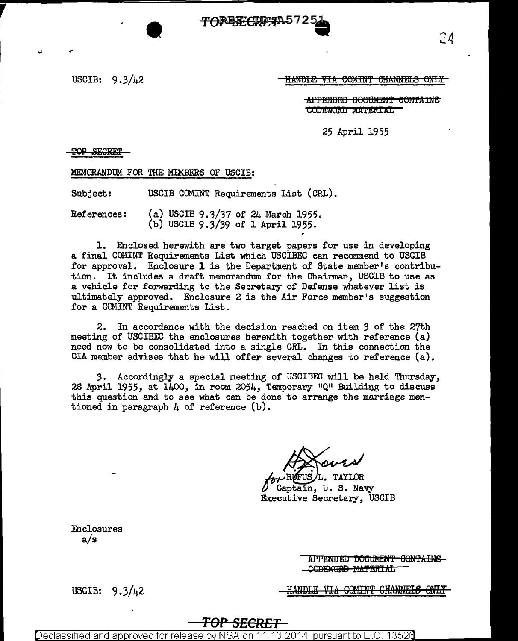

*r*  I

USCIB:  $9.3/L2$  HANDLE VIA COMINT CHANNELS

**APPENDED BOCUMENT CONTAINS** CODEWORD MATERIAL

25 April 1955

TOP SECRET

MEMORANDUM FOR THE MEMBERS OF USCIB:

Subject: USCIB COMINT Requirements List (CRL).

References: (a) USCIB 9.3/37 of 24 March 1955. (b) USCIB 9.3/39 of 1 April 1955.

1. Enclosed herewith are two target papers for use in developing a final COMINT Requirements List which USCIBEC can recommend to USCIB for approval. Enclosure 1 is the Department of State member's contribution. It includes a draft memorandum for the Chairman, USCIB to use as a vehicle for forwarding to the Secretary of Defense whatever list is ultimately approved. Enclosure 2 is the Air Force member's suggestion for a COMINT Requirements List.

2. In accordance with the decision reached on item *3* of the 27th meeting of USCIBEC the enclosures herewith together with reference (a) need now to be consolidated into a single CRL. In this connection the CIA member advises that he will offer several changes to reference (a).

*3.* Accordingly a special meeting of USCIBEC will be held Thursday,  $28$  April 1955, at  $1400$ , in room  $2054$ , Temporary "Q" Building to discuss this question and to see what can be done to arrange the marriage mentioned in paragraph  $\mu$  of reference (b).

**⁄L. TAYLOR** Captain, U. S. Navy Executive Secretary, USCIB

Enclosures a/a

> APPENDED DOCUMENT CONTAINS CODEWORD MATERIAL

USGIB: 9 .3/42

<u>ANDLE VIA COMINT CHANNELS ONLY</u>

*TOP SECRET* 

Declassified and approved for release by NSA on 11-13-2014 -pursuant to E .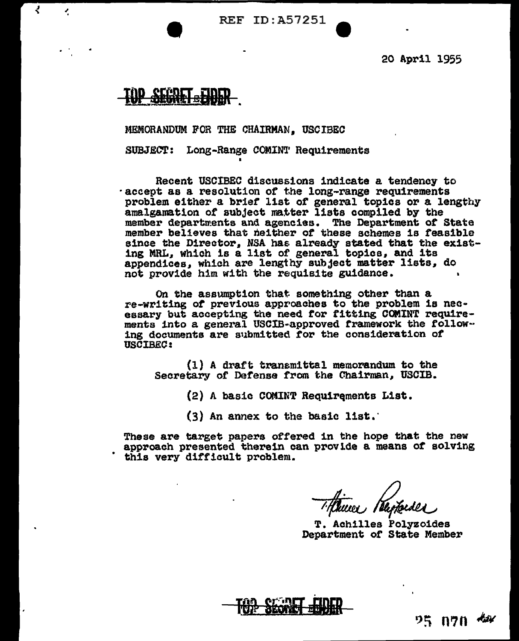.<br>REF ID:A57251

20 April 1955

~

₹

MEMORANDUM FOR THE CHAIRMAN, USC IBEC SUBJECT: Long-Range COMIN'l' Requirements

Recent USCIBEC discussions indicate a tendency to raccept as a resolution of the long-range requirements problem either a brief list of general topics or a lengthy amalgamation of subject matter lists compiled by the member departments and agencies. The Department of State member believes that neither *ot* these schemes is feasible since the Director, NSA has already stated that the existing MRL, which is a list of general topics, and its appendices, which are lengthy subject matter lists, do not provide him with the requisite guidance.

On the assumption that something other than a re-writing of previous approaches to the problem is necessary but accepting the need tor titting COMINT requirements into a general USCIB-approved framework the follow-1ng documents are s11bmitted tor the consideration of USCIBEC:

(1) A draft transmittal memorandum to the Secretary of Defense from the Chairman, USCIB.

(2) A basic COMINT Requirements List.

(3) An annex to the basic list.·

These are target papers offered in the hope that the new approach presented therein can provide a means of solving this very difficult problem.

~~ T. Achilles Polyzoides Department of State Member



りち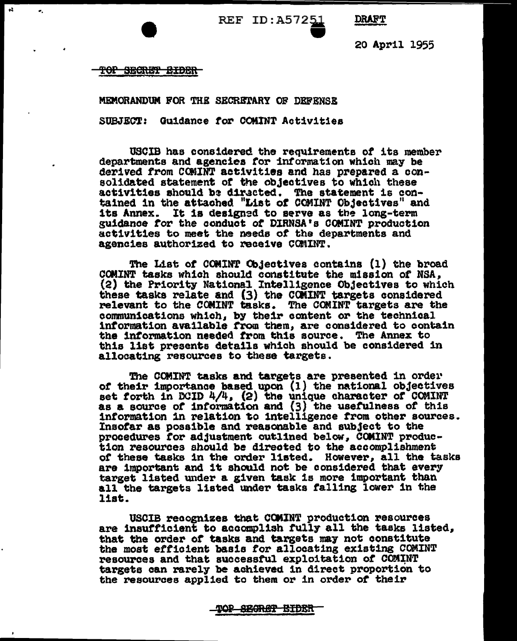REF ID:A57251

DRAFT

20 April 1955

TOP SECRET BIDER

...

 $\mathbf{a}$ 

MEMORANDUM FOR THE SECRftARY OF DEFENSE

SUBJECT: Guidance *tor* COMINT Activities

USCIB has considered the requirements of its member departments and agenciea tor intormation which may be derived from CCMIN'l' activities and has prepared a consolidated statement or the obJeot1ves to wh1oll these activities should be diracted. The statement is contained in the attached "List of COMINT Objectives" and its Annex. It is designed to serve as the long-term guidance for the conduct of DIRNSA's COMINT production activities to meet the needs of the departments and agencies authorized to receive COMINT.

The List of OCMIN'l' CbJeotives contains (1) the broad CCllINT tasks which should constitute the mission or NSA, (2) the Priority National Intelligence Objectives to which these tasks relate and  $(3)$  the COMINT targets considered relevant to the COMINT tasks. The COMINT targets are the oommun1cat1ons which, by their content *01'* the technical information available from them, are considered to contain the 1ntormat1on needed from this source. The Annex to this list presents deta11s which should be considered in allocating resources to these targets.

The COMINT tasks and targets are presented in order of their importance based upon (1) the national objectives set forth in DCID 4/4, (2) the unique character of COMINT as a source *ot* 1nformat1on and (3) the uaetulness *ot* this information in relation to intelligence from other sources. Insofar as possible and reasonable and subject to the procedures for adjustment outlined below, COMINT production resources should be directed to the accomplishment of these tasks in the order listed. However, all the tasks are important and it should not be considered that every target listed under a given task is more important than all the targets listed under tasks falling lower in the list.

USCIB recognizes that COMINT production resources are insufficient to accomplish fully all the tasks listed, that the order or tasks and targets may not constitute the most eft1c1ent basis tor allocating existing COMINT resources and that successful exploitation of COMINT targets can rarely be achieved in direct proportion to the resou~ces applied to them or in order *ot* their

> TOP <del>SECRET EIDER</del>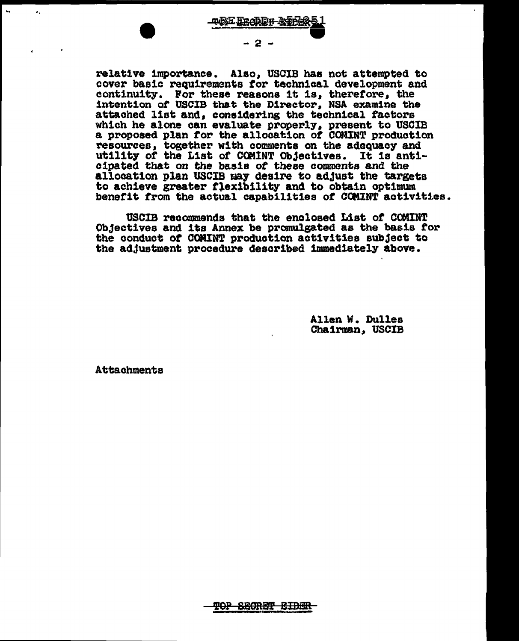turke Eration Antolog  $-2 -$ 

relative importance. Also, USCIB has not attempted to cover basic requirements tor technical development and continuity. For these reasons 1t is, theretore, the intention *ot* USCIB that the Director. NSA examine the attached list and, considering the technical factors which he alone can evaluate properly, present to USCIB <sup>a</sup>propoaed plan tor the allocation *ot* COMINT production resources, together with comments on the adequacy and utility of the List of COMINT Objectives. It is anticipated that on the basis *ot* these comments and the allocation plan USCIB may desire to adjust the targets to achieve greater riex1b111ty and to obtain optimwn benetit trom the actual capabilities *ot* CQilINT activities.

USCIB recommends that the enclosed List of COMINT ObJectives and its Annex be promulgated as the basis tor the conduct *ot* COMINT production activities subject to the adjustment procedure described immediately above.

> Allen w. Dulles Chairman, USCIB

**Attachments** 

..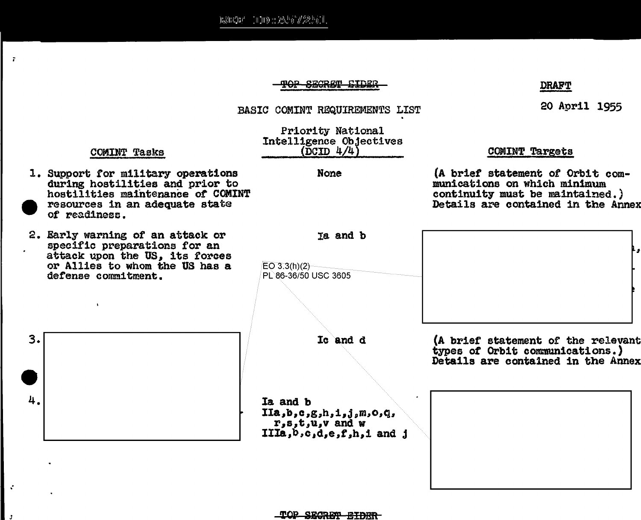l: l: li: i. i.11) : A \* s \* d' 2 \* s il.

#### T<del>OP SECRET EIDER</del>

#### BASIC COMINT REQUIREMENTS LIST

None

Priority National Intelligence Objectives ...  $(DCID \t4/4)$ 

#### COMINT Tasks

- 1. Support tor military operations during hostilities and prior to hostilities maintenance of COMINT resources in an adequate state of readiness.
- 2. Early warning *ot* an attack or specific preparations for an attack upon the US, its forces or Allies to whom the US has a defense commitment.

*:* 

 $\mathbf{r}$ 

4.

 $3.$ 

. J

Ia. and b EO 3.3(h)(2) PL 86-36/50 USC 3605

Ic and d

Ia and b  $IIa, b, c, g, h, 1, j, m, o, q,$ r,s,t,u,v and w IIIa,b,c,d,e,t,h,1 and <sup>j</sup> 20 April 1955

#### COMINT Targets

(A brief statement of Orbit communications on which minimum continuity must be maintained.) Details are contained in the Annex

|<br>|-

(A brief statement of the relevant<br>types of Orbit communications.) Details are contained in the Annex

DRAFT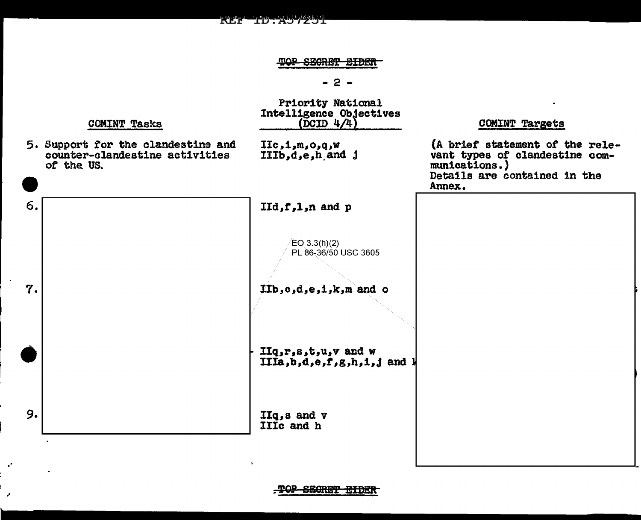|                                                                                    | $-2-$                                                                |                                                                                                                    |
|------------------------------------------------------------------------------------|----------------------------------------------------------------------|--------------------------------------------------------------------------------------------------------------------|
| <b>COMINT Tasks</b>                                                                | Priority National<br>Intelligence Objectives<br>(DCID 4/4)           | <b>COMINT Targets</b>                                                                                              |
| 5. Support for the clandestine and<br>counter-clandestine activities<br>of the US. | $\text{IIc}, \text{in}, \text{c}, \text{qu}$<br>IIIb, $d$ ,e,h and j | (A brief statement of the rele-<br>vant types of clandestine com-<br>munications.)<br>Details are contained in the |
|                                                                                    |                                                                      | Annex.                                                                                                             |
|                                                                                    | IId, $f$ , $l$ , $n$ and $p$                                         |                                                                                                                    |
|                                                                                    | $EQ$ 3.3(h)(2)<br>PL 86-36/50 USC 3605                               |                                                                                                                    |
|                                                                                    | IIb, $o$ , $d$ , $e$ , $1$ , $k$ , $m$ and $o$                       |                                                                                                                    |
|                                                                                    |                                                                      |                                                                                                                    |
|                                                                                    | $IIq, r, s, t, u, v$ and w<br>$IIIa, b, d, e, f, g, h, 1, j$ and $I$ |                                                                                                                    |
|                                                                                    | $IIq$ , s and $v$<br>IIIc and h                                      |                                                                                                                    |
|                                                                                    |                                                                      |                                                                                                                    |

TOP SECRET EIDER

 $\sim 10^{-1}$ 

.·

 $\sim 10^{11}$  .

 $\sim$ 

,.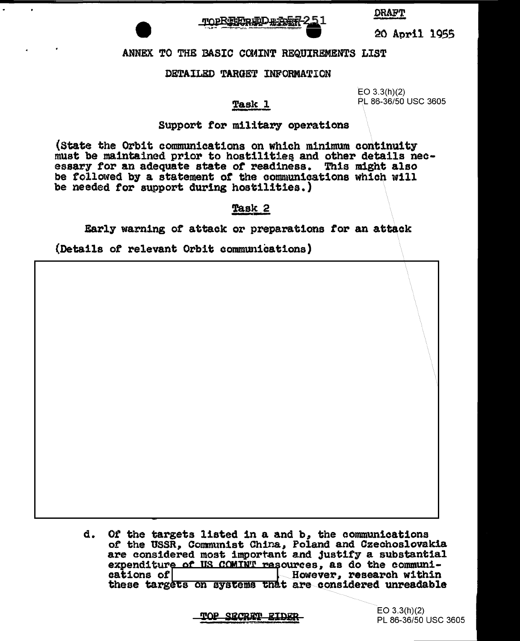



**DRAFT** 

20 April 1955

#### ANNEX TO THE BASIC COMINT REQUIREMENTS LIST

#### DETAILED TARGET INFORMATION

#### **Task 1**

 $EO 3.3(h)(2)$ PL 86-36/50 USC 3605

#### Support for military operations

(State the Orbit communications on which minimum continuity must be maintained prior to hostilities and other details necessary for an adequate state of readiness. This might also be followed by a statement of the communications which will be needed for support during hostilities.)

#### Task 2

Early warning of attack or preparations for an attack

(Details of relevant Orbit communications)

Of the targets listed in a and b, the communications d. of the USSR, Communist China, Poland and Czechoslovakia are considered most important and justify a substantial expenditure of US COMINT resources, as do the communications of However, research within these targets on systems that are considered unreadable

#### SECRET EIDER <u>ጥ ን በ</u>

 $EO 3.3(h)(2)$ PL 86-36/50 USC 3605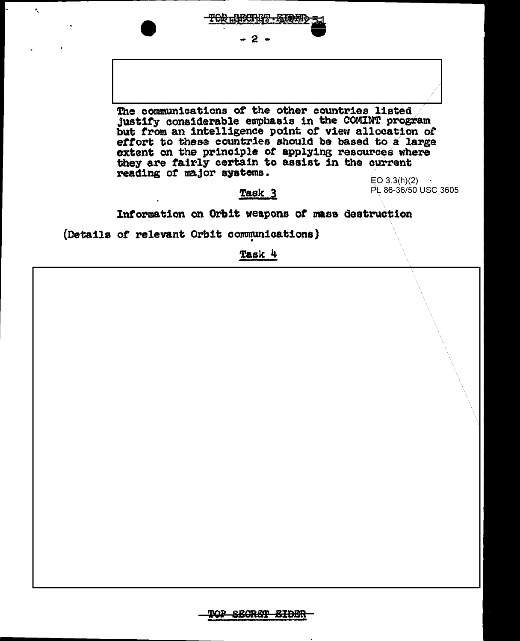

justify considerable emphasis in the COMINT program but from an intelligence point of view allocation of effort to these countries should be based to a large extent on the principle of applying resources where they are fairly certain to assist in the current reading of major systems.

 $EO 3.3(h)(2)$ PL 86-36/50 USC 3605

#### Task<sub>3</sub>

Information on Orbit weapons of mass destruction

(Details of relevant Orbit communications)

 $\mathbf{r}_i$ 

Task 4

<del>TOP SECRET EIDER</del>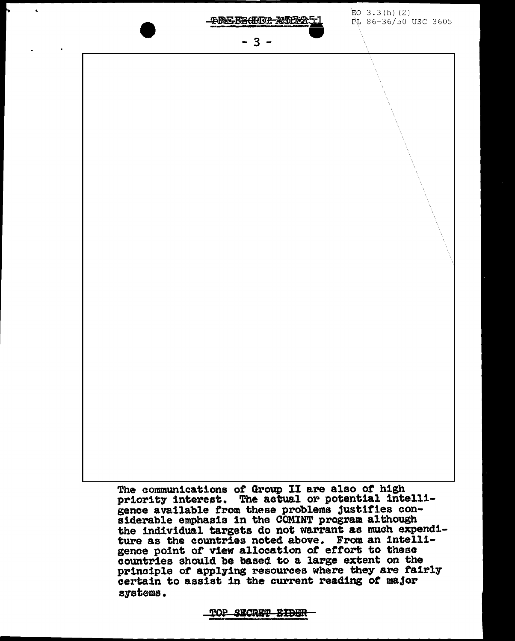EO  $3.3(h)$  (2) **TREFECTOR-ATCA2** PL 86-36/50 USC 3605  $-3 -$ The communications of Group II are also *ot* high priority interest. The actual or potential intelligence available from these problems justifies con-<br>siderable emphasis in the COMINT program although the individual targets do not warrant as much expenditure as the countries noted above. From an intelli-

TOP SECRET EIDER

systems.

 $\tilde{\mathbf{r}}$ 

gence point of view allocation of effort to these countries should be based to a large extent on the

principle of applying resources where they are fairly certain to assist in the current reading of major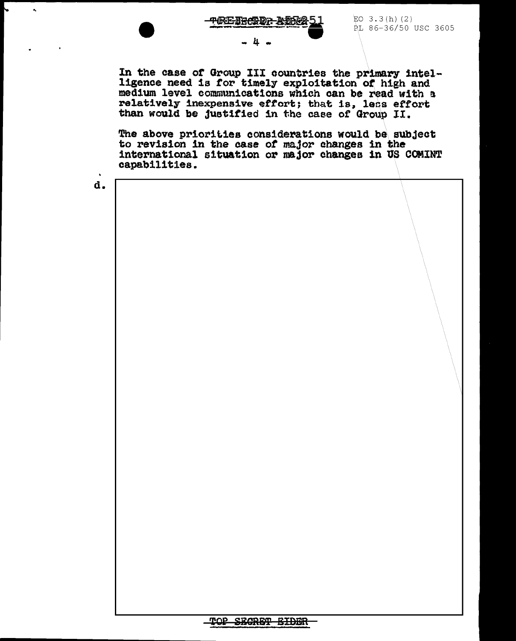<del>-TEEJREND: ADDIA</del> 5

 $-4 -$ 

EO  $3.3(h)$  (2) PL 86-36/50 USC 3605

In the case of Group III countries the primary intelligence need 1s *tor* timely exploitation *ot* high and medium level communications which can be read with a relatively inexpensive effort; that is, less effort than would be justified in the case of Group II.

The above priorities considerations would be subject to revision in the case of *major* changes in the international situation or major changes in US COMINT capabilities.

d.

 $\mathbf{A}$ 

TOP SECRET EIDER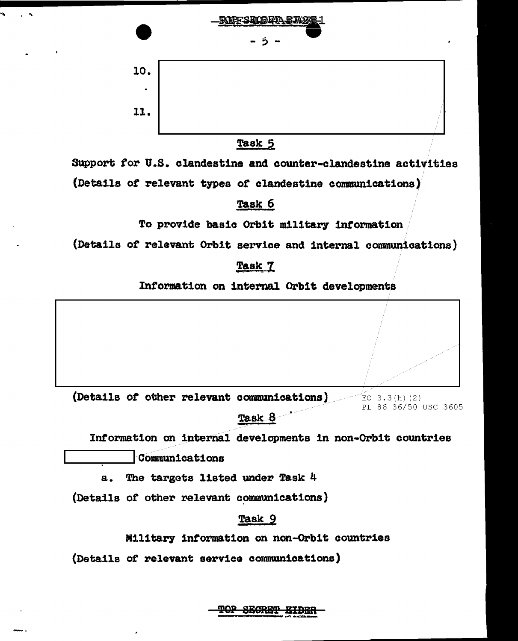

#### Task<sub>5</sub>

Support for U.S. clandestine and counter-clandestine activities (Details of relevant types of clandestine communications)

#### Task 6

To provide basic Orbit military information

(Details of relevant Orbit service and internal communications)

#### Task 7

Information on internal Orbit developments



#### Task<sub>8</sub>

Information on internal developments in non-Orbit countries

Communications

a. The targets listed under Task 4

(Details of other relevant communications)

#### Task 9

Military information on non-Orbit countries

(Details of relevant service communications)

**TOP SECRET EIDER**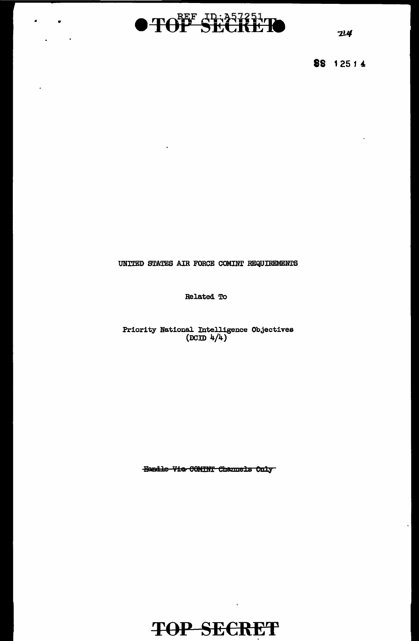

,,

 $24$ 

IS 125 *1* 4

#### UNITED STATES AIR FORCE COMINT BEQUIBEMENTS

 $\ddot{\phantom{a}}$ 

Related To

Priority National. Intelligence Objectives  $(DCD 4/4)$ 

Handle Via COMINT Channels Only



 $\bar{\mathbf{r}}$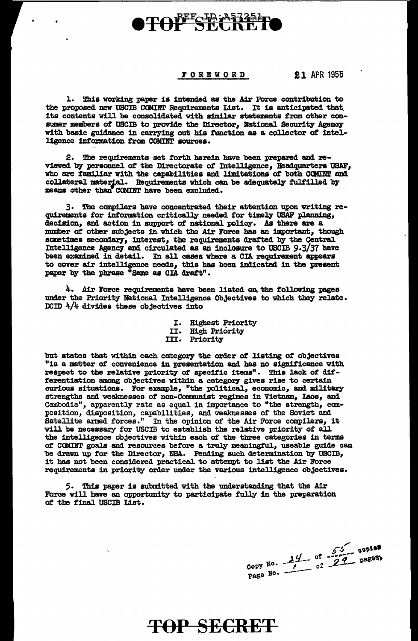## **DTOFFELDAREET**

#### FOREWORD 21 APR 1955

l.. This working paper is intended as the Air Force contribution to the proposed new USCIB COMINT Requirements List. It is anticipated that its contents will be consolidated with similar statements from other consumer members of USCIB to provide the Director, National Security Agency with basic guidance in carrying out his function as a collector of intelligence information from COMINT sources.

2. The requirements set forth herein have been prepared and. reviewed by personnel of the Directorate of Intelligence, Headquarters USAF, who are familiar with the capabilities and limitations of both COMINT and collateral material. Requirements which can be adequately fulfilled by means other than COMINT have been excluded.

3. The compilers have concentrated their attention upon writing requirements for information criticalq needed for timely USAF planning, decision, and action in support of national policy. As there are a number of other subjects in which the Air Force has an important, though sometimes secondary, interest, the requirements drafted by the Central Intelligence Agency and circulated as an inclosure to USCIB  $9.3/37$  have been examined in detail. In all cases where a CIA requirement appears to cover air intelligence needs, this has been indicated in the present paper by the phrase "Same aa CIA draft".

4. Air Force requirements have been liated on. the following pages under the Priority National Intelligence Objectives to which they relate. DCID  $4/4$  divides these objectives into

- I. Highest Priority
- II. High Priority
- III. Priority

but states that within each category the order of listing of objectives "is a matter of convenience in presentation and has no significance with respect to the relative priority of specific items". This lack of differentiation among obJectives within a category gives rise to certain curious situations. For example, "the political, economic, and military strengths and weaknesses of non-Communist regimes in Vietnam, Laos, and Cambodia", apparently rate as equal in importance to "the strength, composition, disposition, capabilities, and weaknesses of the Soviet and Satellite armed forces." In the opinion of the Air Force compilers, it will be necessary for USCIB to establish the relative priority of all the intelligence obJectives within each of the three categories in terms of COMINT goals and resources before a truly meaningful, useable guide can be drawn up for the Director, NSA. Pending such determination by USCIB, it has not been considered practical to attempt to list the Air Force requirements in priority order under the various intelligence obJectivea.

5. This paper is submitted with the understanding that the Air Force will have an opportunity to participate fully in the preparation of the final. USCIB List.

 $55$  copies *\_ \_1.!:l--* of -·~"'f.. :\_ pas.es.~ *t* of *- <sup>1</sup> --* -------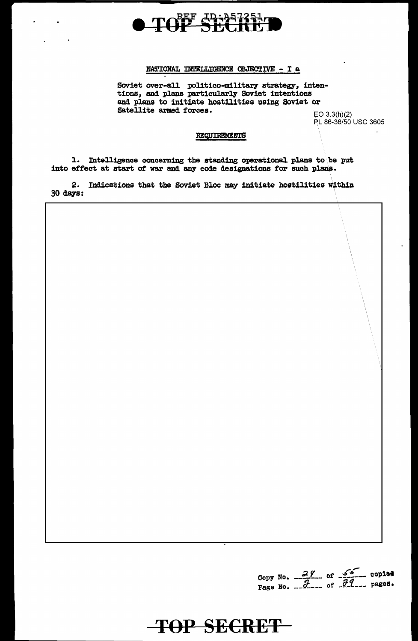

#### NATIONAL INTELLIGENCE OBJECTIVE - I a

Soviet over-all politico-military strategy, inten-<br>tions, and plans particularly Soviet intentions and plans to initiate hostilities using Soviet or Satellite armed forces.

 $EO 3.3(h)(2)$ PL 86-36/50 USC 3605

#### REQUIREMENTS

1. Intelligence concerning the standing operational plans to be put into effect at start of war and any code designations for such plans.

2. Indications that the Soviet Bloc may initiate hostilities within  $30$  days:

Copy No.  $\frac{2}{\cancel{2}}$  of  $\frac{\cancel{55}}{\cancel{36}}$  copies.<br>Page No.  $\frac{2}{\cancel{2}}$  of  $\frac{2}{\cancel{36}}$  pages.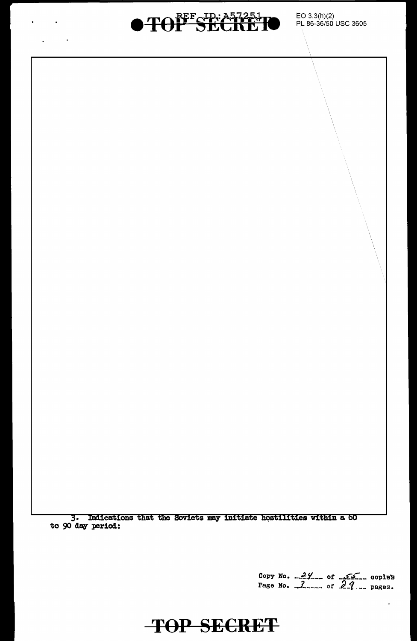3. Indications that the Soviets may initiate hostilities within a 60 to 90 day period:

Copy No.  $24$  of  $55$  copies<br>Page No.  $24$  of  $24$  pages.

### **TOP SECRET**

EO 3.3(h)(2)<br>PL 86-36/50 USC 3605

REE CID: 257253-

 $\blacktriangleright$  Te

 $\mathcal{L}^{\text{max}}$  and  $\mathcal{L}$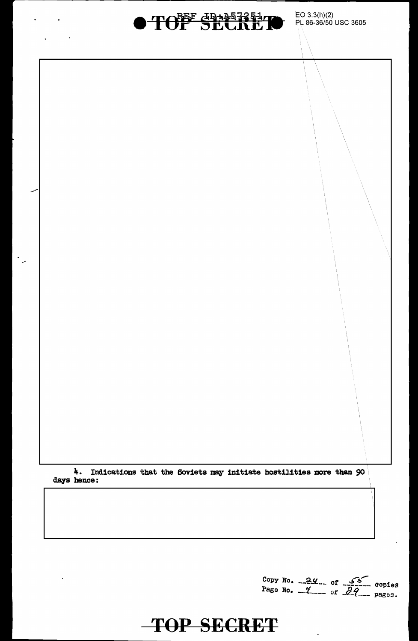4. Indications that the Soviets may initiate hostilities more than 90 days hence:

TOF SECRET



EO 3.3(h)(2)<br>PL 86-36/50 USC 3605

Copy No. 24 of 56 copies<br>Page No. 4--- of 24- pages.

 $\ddot{\phantom{a}}$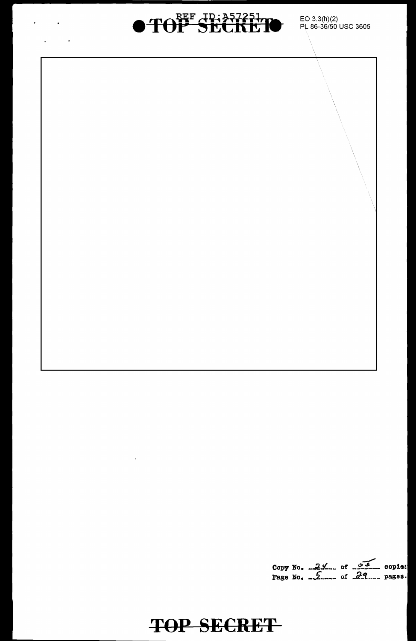

Copy No.  $22$  of  $\frac{56}{24}$  copies<br>Page No.  $24$  of 24... pages.



 $\mathcal{L}_{\text{max}}$  and  $\mathcal{L}_{\text{max}}$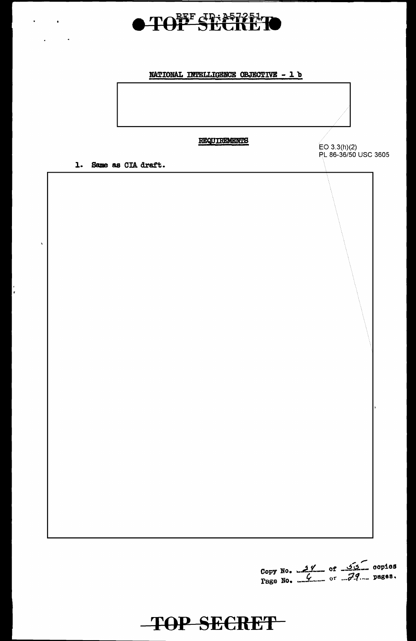

 $\bullet$  .

 $\mathbf{r}$ 

 $\bar{\mathbf{v}}$ 

 $\frac{1}{2}$ 

 $\bullet$ 





| Copy No. $21 - 02$<br>Page No. $77 - 7$ |  |  |
|-----------------------------------------|--|--|
|                                         |  |  |
|                                         |  |  |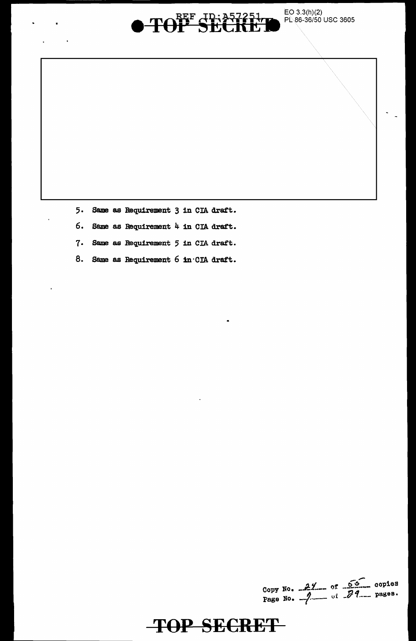#### BEF 4B: 8572514  $\overline{\mathbf{r}}$

EO 3.3(h)(2)<br>PL 86-36/50 USC 3605

- 5. Same as Requirement 3 in CIA draft.
- 6. Same as Requirement 4 in CIA draft.
- $7.$ Same as Requirement 5 in CIA draft.
- 8. Same as Requirement 6 in CIA draft.

Copy No.  $21 - 01 - 55$  copies<br>Page No.  $-1 - 01 - 71$  pages.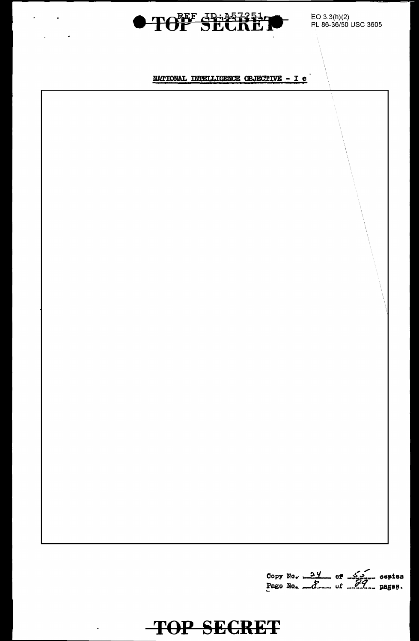

 $\bullet$ 

 $\begin{array}{lll} \text{EO } 3.3(\text{h})(2) \\ \text{PL } 86-36/50 \text{ USC } 3605 \end{array}$ 

### NATIONAL INTELLIGENCE CEJECTIVE - I e

Copy No.  $\frac{24}{\sqrt{2}}$  of  $\frac{3}{\sqrt{2}}$  septes<br>Page No.  $\frac{24}{\sqrt{2}}$  of  $\frac{24}{\sqrt{2}}$  pages.

## **TOP SECRET**

 $\blacksquare$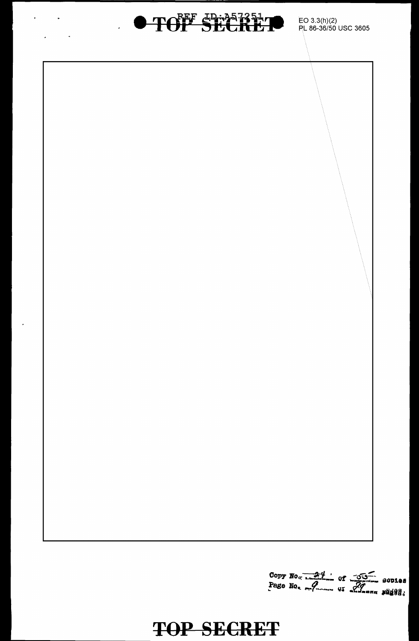

Copy No<sub>o</sub>  $2\frac{y}{x}$  of  $\frac{3}{\sqrt{x}}$  sopies<br>Page No<sub>o</sub>  $\frac{2}{\sqrt{x}}$  of  $\frac{2}{\sqrt{x}}$  sopies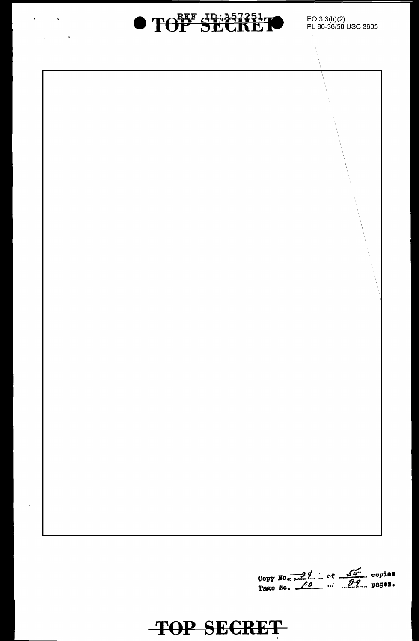

Copy No.  $\frac{24}{\sqrt{6}}$  of  $\frac{\sqrt{6}}{24}$  copies<br>Page No.  $\frac{\sqrt{6}}{24}$  m  $\frac{24}{\sqrt{6}}$  pages.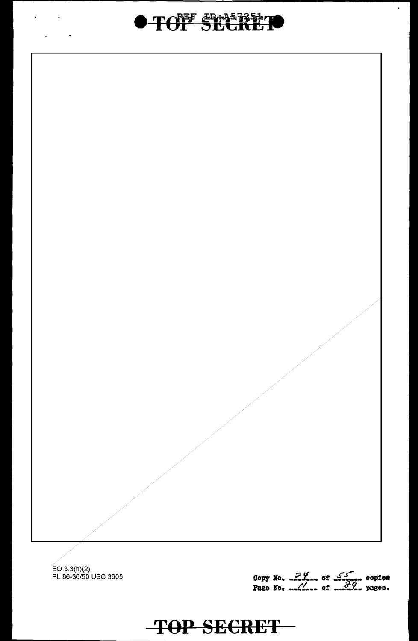

**I TOFF SECRET** 

EO 3.3(h)(2)<br>PL 86-36/50 USC 3605

Copy No.  $24$  of  $55$  copies<br>Page No.  $44$  of  $24$  pages.

 $\bar{\mathbf{v}}$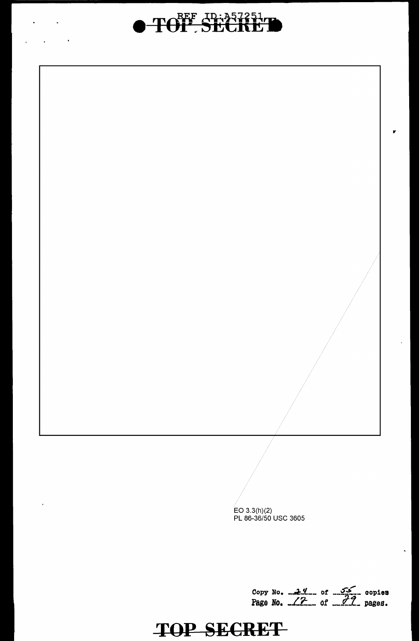

**TOP SECRET** 

EO 3.3(h)(2)<br>PL 86-36/50 USC 3605

Copy No.  $24$  of  $55$  copies<br>Page No.  $12$  of  $72$  pages.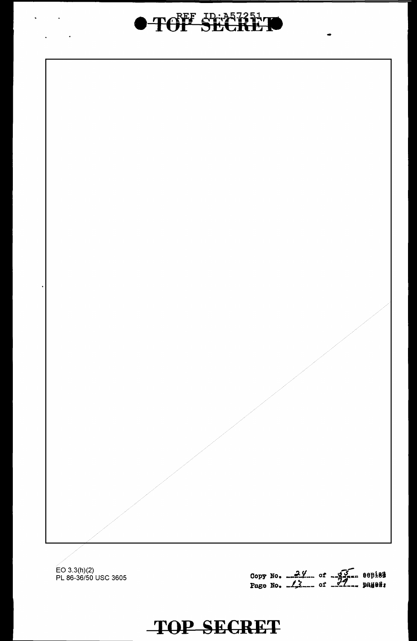

TOF SECRE

EO 3.3(h)(2)<br>PL 86-36/50 USC 3605

Copy No.  $24$  of  $54$  eepies<br>Page No.  $12$  of  $-72$  pages: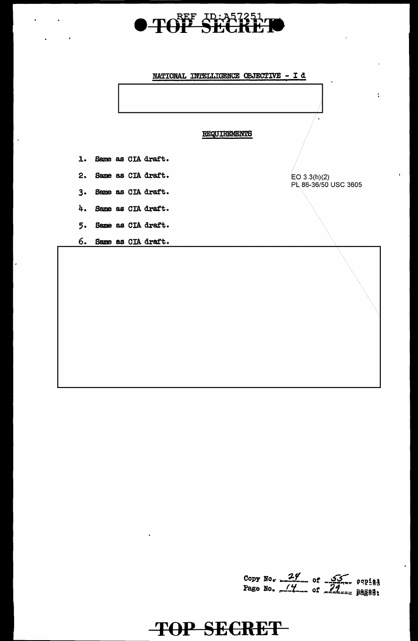

#### NATIONAL INTELLIGENCE OBJECTIVE - I d

 $\ddot{\phantom{a}}$ 



Copy No.  $24$  of  $22$  popiss<br>Page No.  $44$  of  $24$  pagess: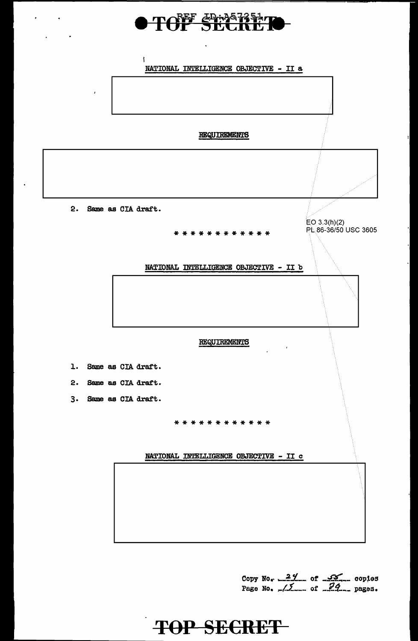



|  | Copy No. $22$ of $22$ copies |  |  |
|--|------------------------------|--|--|
|  | Page No. $12$ of $72$ pages. |  |  |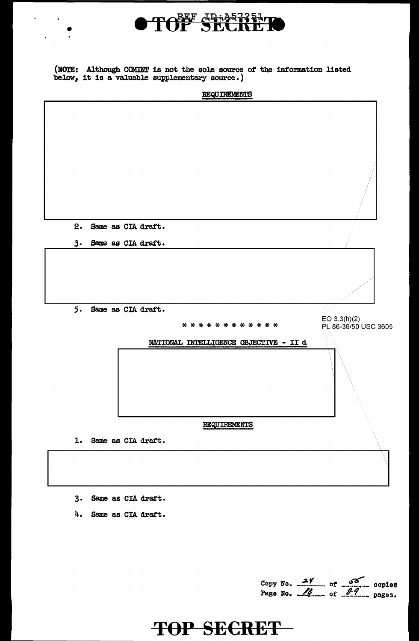

(NOTE: Although COMINT is not the sole source of the information listed below, it is a valuable supplementary source.)

|                |                       | <b>REQUIREMENTS</b>                    |                                      |
|----------------|-----------------------|----------------------------------------|--------------------------------------|
|                |                       |                                        |                                      |
|                |                       |                                        |                                      |
|                |                       |                                        |                                      |
|                |                       |                                        |                                      |
|                |                       |                                        |                                      |
|                |                       |                                        |                                      |
|                |                       |                                        |                                      |
|                |                       |                                        |                                      |
|                |                       |                                        |                                      |
| 2.             |                       | Same as CIA draft.                     |                                      |
|                |                       |                                        |                                      |
| 3.             |                       | Same as CIA draft.                     |                                      |
|                |                       |                                        |                                      |
|                |                       |                                        |                                      |
|                |                       |                                        |                                      |
|                |                       |                                        |                                      |
|                | 5. Same as CIA draft. |                                        |                                      |
|                |                       | * * * * * * * * * * * *                | EO 3.3(h)(2)<br>PL 86-36/50 USC 3605 |
|                |                       | NATIONAL INTELLIGENCE OBJECTIVE - II d |                                      |
|                |                       |                                        |                                      |
|                |                       |                                        |                                      |
|                |                       |                                        |                                      |
|                |                       |                                        |                                      |
|                |                       |                                        |                                      |
|                |                       |                                        |                                      |
|                |                       | REQUIREMENTS                           |                                      |
| $\mathbf{L}$ . |                       | Same as CIA draft.                     |                                      |
|                |                       |                                        |                                      |
|                |                       |                                        |                                      |
|                |                       |                                        |                                      |

- 3. Same as CIA draft.
- 4. Same as CIA draft.

Copy No.  $\frac{2y}{x}$  of  $\frac{35}{x^2}$  copies<br>Page No.  $\frac{2y}{x^2}$  of  $\frac{22}{x^2}$  pages.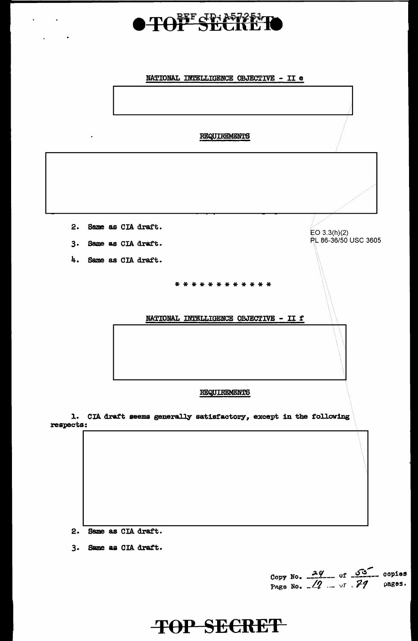

#### NATIONAL INTELLIGENCE OBJECTIVE - II e



3. Same as CIA draft.

Copy No.  $\frac{24}{12}$  of  $\frac{55}{12}$  copies<br>Page No.  $\frac{1}{12}$  ... or  $\frac{7}{12}$  pages.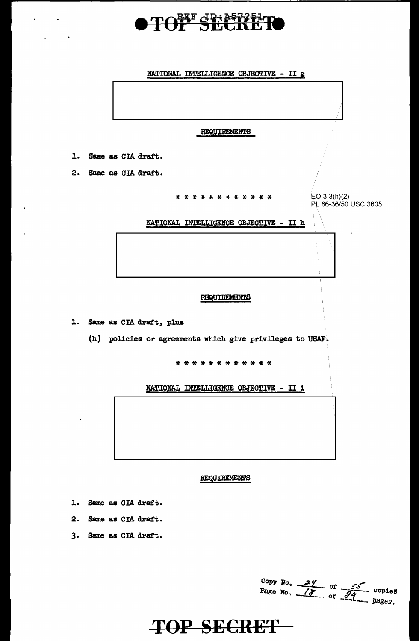## TOFF SECILE

NATIONAL INTELLIGENCE OBJECTIVE - II g REQUIREMENTS 1. Same as CIA draft. 2. Same as CIA draft.  $EO 3.3(h)(2)$ \* \* \* \* \* \* \* \* \* \* \* \* PL 86-36/50 USC 3605 NATIONAL INTELLIGENCE OBJECTIVE - II h REQUIREMENTS 1. Same as CIA draft, plus (h) policies or agreements which give privileges to USAF. \* \* \* \* \* \* \* \* \* \* \* \* NATIONAL INTELLIGENCE OBJECTIVE - II 1

#### REQUIREMENTS

- 1. Same as CIA draft.
- 2. Same as CIA draft.
- 3. Same as CIA draft.

Copy No.  $24$  of  $55$  copies<br>Page No.  $47$  of  $24$  pages.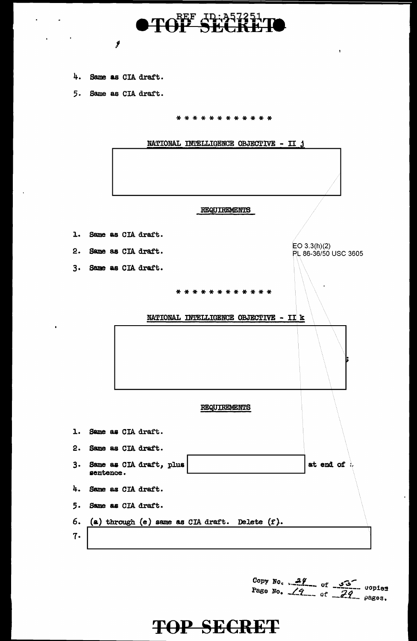

\* \* \* \* \* \* \* \* \* \* \* \*

4. Same as CIA draft.

ý

5. Same as CIA draft.

NATIONAL INTELLIGENCE OBJECTIVE - II j REQUIREMENTS 1. Same as CIA draft. EO  $3.3(h)(2)$ 2. Same as CIA draft. PL 86-36/50 USC 3605 3. Same as CIA draft. \* \* \* \* \* \* \* \* \* \* \* \* NATIONAL INTELLIGENCE OBJECTIVE - II k **REQUIREMENTS** 1. Same as CIA draft. 2. Same as CIA draft. 3. Same as CIA draft, plus at end of . sentence. 4. Same as CIA draft. 5. Same as CIA draft. 6. (a) through (e) same as CIA draft. Delete  $(f)$ .  $7.$ 

Copy No.  $29$  of  $33$  copies<br>Page No.  $19$  of  $29$  pages.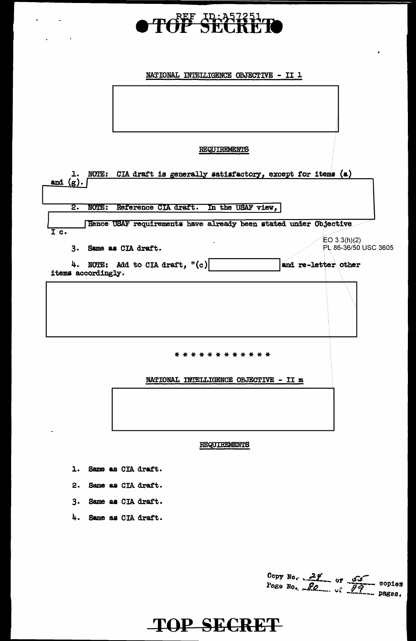

NATIONAL INTELLIGENCE OBJECTIVE - II 1

#### **REQUIREMENTS**

| 1. NOTE: CIA draft is generally satisfactory, except for items (a)<br><u>and</u> (g).                                                  |                                                                |
|----------------------------------------------------------------------------------------------------------------------------------------|----------------------------------------------------------------|
| Reference CIA draft. In the USAF view,<br>2.<br>NOTE:<br>Hence USAF requirements have already been stated under Objective<br>$T_{c}$ . |                                                                |
| 3. Same as CIA draft.<br>4. NOTE: Add to CIA draft, $"(c) $                                                                            | $E$ O 3.3(h)(2)<br>PL 86-36/50 USC 3605<br>and re-letter other |
| items accordingly.                                                                                                                     |                                                                |
|                                                                                                                                        |                                                                |
|                                                                                                                                        |                                                                |
| NATIONAL INTELLIGENCE OBJECTIVE - II m                                                                                                 |                                                                |
|                                                                                                                                        |                                                                |

#### REQUIREMENTS

- 1. Same as CIA draft.
- 2. Same as CIA draft.
- 3. Same as CIA draft.
- 4. Same as CIA draft.

Copy No. 24 or 55 copies<br>Page No. 20. uf 22 pages.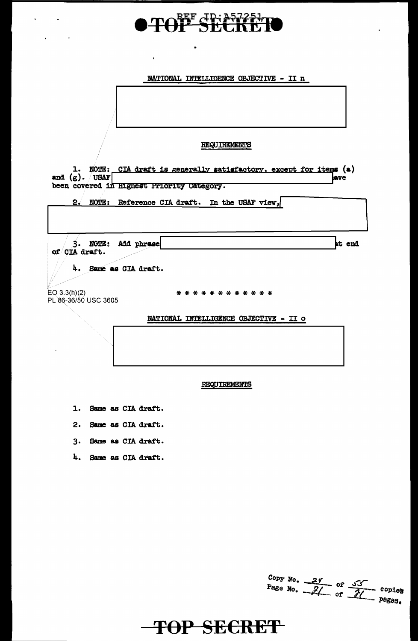# **BEF dP: 857253g**<br>H SECRET

 $\ddot{\phantom{1}}$ 

NATIONAL INTELLIGENCE OBJECTIVE - II n

#### **REQUIREMENTS**

 $\begin{array}{cc} & 1. & \text{NOTE:} \\ \text{and} & \text{(g)}. & \text{USAF} \end{array}$ CIA draft is generally satisfactory, except for items (a) ave been covered in Highest Priority Category.

**NOTE:** Reference CIA draft. In the USAF view,  $2<sub>1</sub>$ 3. NOTE: Add phrase at end of CIA draft. 4. Same as CIA draft.  $EO$  3.3(h)(2) \* \* \* \* \* \* \* \* \* \* \* \* PL 86-36/50 USC 3605 NATIONAL INTELLIGENCE OBJECTIVE - II O

#### **REQUIREMENTS**

- 1. Same as CIA draft.
- 2. Same as CIA draft.
- 3. Same as CIA draft.
- 4. Same as CIA draft.

Copy No.  $\frac{24}{\sqrt{2}}$  of  $\frac{33}{\sqrt{2}}$  copies<br>Page No.  $\frac{24}{\sqrt{2}}$  of  $\frac{33}{\sqrt{2}}$  pages.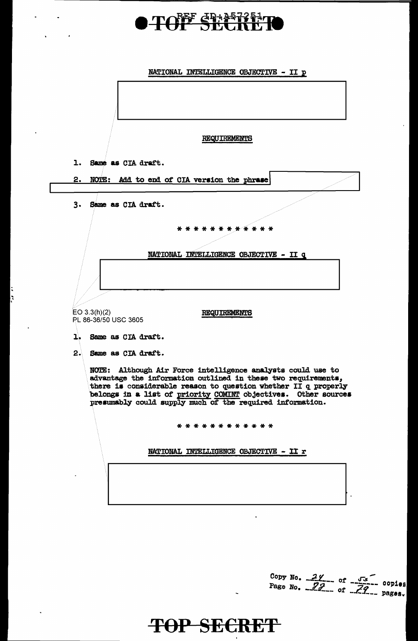# **OTOFF SECRET**

 $\ddot{\phantom{a}}$ 

 $\ddot{\phantom{a}}$ 

 $\ddot{\cdot}$ l:

 $\ddot{\phantom{0}}$ 

L.

 $\hat{\mathcal{A}}$ 

 $\overline{a}$ 

|    | NATIONAL INTELLIGENCE OBJECTIVE - II p                                                                                                                                                                                                                                                                                           |
|----|----------------------------------------------------------------------------------------------------------------------------------------------------------------------------------------------------------------------------------------------------------------------------------------------------------------------------------|
|    |                                                                                                                                                                                                                                                                                                                                  |
|    |                                                                                                                                                                                                                                                                                                                                  |
|    |                                                                                                                                                                                                                                                                                                                                  |
|    | <b>REQUIREMENTS</b>                                                                                                                                                                                                                                                                                                              |
| ı. | Same as CIA draft.                                                                                                                                                                                                                                                                                                               |
| 2. | NOTE: Add to end of CIA version the phrase                                                                                                                                                                                                                                                                                       |
|    | Same as CIA draft.                                                                                                                                                                                                                                                                                                               |
| 3. |                                                                                                                                                                                                                                                                                                                                  |
|    | * *                                                                                                                                                                                                                                                                                                                              |
|    |                                                                                                                                                                                                                                                                                                                                  |
|    | NATIONAL INTELLIGENCE OBJECTIVE - II q                                                                                                                                                                                                                                                                                           |
|    |                                                                                                                                                                                                                                                                                                                                  |
|    |                                                                                                                                                                                                                                                                                                                                  |
|    | EO 3.3(h)(2)<br><b>REQUIREMENTS</b><br>PL 86-36/50 USC 3605                                                                                                                                                                                                                                                                      |
| ı. | Same as CIA draft.                                                                                                                                                                                                                                                                                                               |
| 2. | Same as CIA draft.                                                                                                                                                                                                                                                                                                               |
|    |                                                                                                                                                                                                                                                                                                                                  |
|    | Although Air Force intelligence analysts could use to<br>NOTE:<br>advantage the information outlined in these two requirements,<br>there is considerable reason to question whether II q properly<br>belongs in a list of priority COMINT objectives. Other sources<br>presumably could supply much of the required information. |
|    | * * * * * * * * * * * *                                                                                                                                                                                                                                                                                                          |
|    | NATIONAL INTELLIGENCE OBJECTIVE - II r                                                                                                                                                                                                                                                                                           |

Copy No. 21 of  $\frac{55}{24}$  copies<br>Page No. 22 of 24 pages.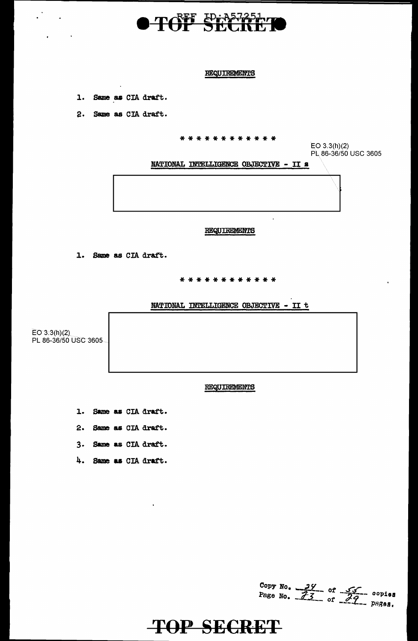

#### **REQUIREMENTS**

- 1. Same as CIA draft.
- 2. Same as CIA draft.

\* \* \* \* \* \* \* \* \* \* \* \*

 $EO 3.3(h)(2)$ PL 86-36/50 USC 3605

NATIONAL INTELLIGENCE OBJECTIVE - II s



1. Same as CIA draft.

\* \* \* \* \* \* \* \* \* \* \* \*

#### NATIONAL INTELLIGENCE OBJECTIVE - II t

 $EO 3.3(h)(2)$ PL 86-36/50 USC 3605

#### **REQUIREMENTS**

- 1. Same as CIA draft.
- Same as CIA draft.  $2.$
- 3. Same as CIA draft.
- 4. Same as CIA draft.

Copy No.  $22$  of  $\frac{55}{27}$  copies<br>Page No.  $\overline{22}$  of  $\overline{27}$  phges.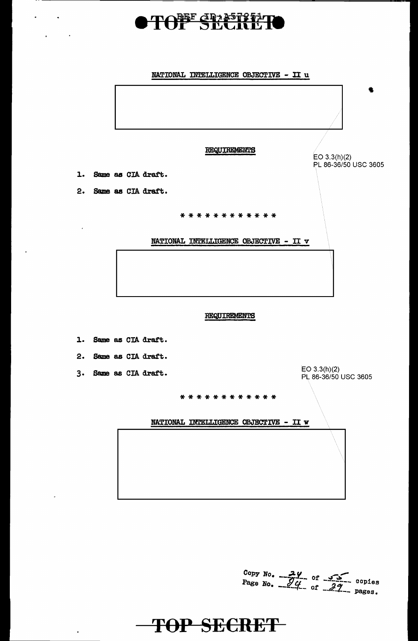## TOF SECRET

 $\bullet$ 





Copy No.  $24$  of  $32$  copies<br>Page No.  $24$  of  $24$  pages.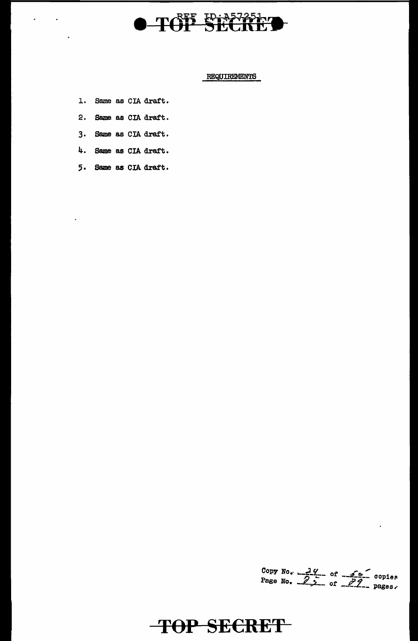

#### REQUIREMENTS

1. Same as CIA draft.

l,

 $\sim$ 

- 2. Same as CIA draft.
- 3. Same as CIA draft.
- 4. Same as CIA draft.
- 5. Same as CIA draft.

 $\mathbf{A}^{\prime}$ 

Copy No.  $24$  of  $-66$  copies<br>Page No.  $22$  of  $22$  pages.

 $\ddot{\phantom{0}}$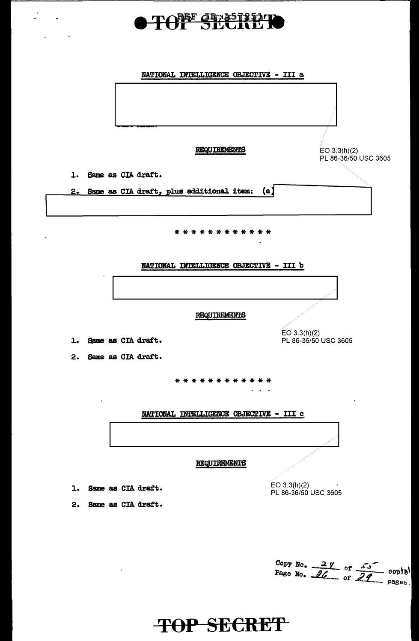## **NEE CRASTICAL**



Copy No.  $24$  of  $35$  copiet<br>Page No.  $24$  of  $24$  pages.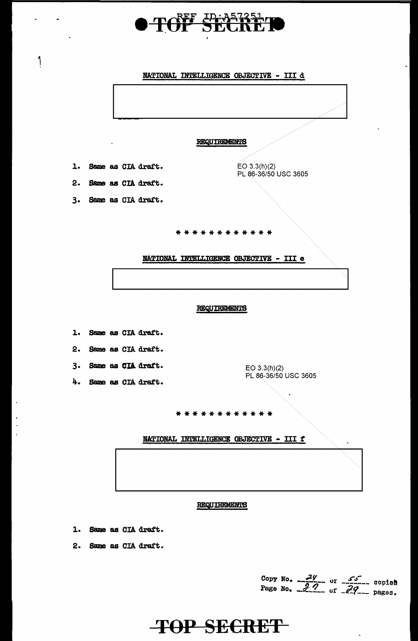

#### NATIONAL INTELLIGENCE OBJECTIVE - III d



1. Same as CIA draft.

1

2. Same as CIA draft.

Copy No.  $\frac{2y}{22}$  or  $\frac{55}{2}$  copies<br>Page No.  $\frac{27}{2}$  of  $\frac{27}{27}$  pages.

 $\overline{a}$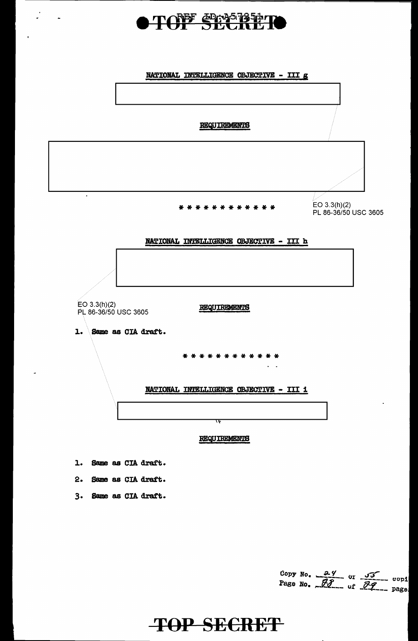

#### NATIONAL INTELLIGENCE OBJECTIVE - III g

#### **REQUIREMENTS**



1. Same as CIA draft.

 $\sim$ 

- 2. Same as CIA draft.
- 3. Same as CIA draft.

Copy No.  $24$  or  $33$  copi